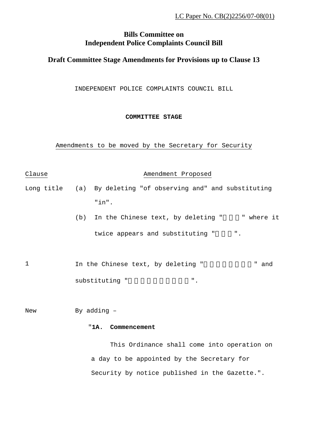# **Bills Committee on Independent Police Complaints Council Bill**

## **Draft Committee Stage Amendments for Provisions up to Clause 13**

INDEPENDENT POLICE COMPLAINTS COUNCIL BILL

**COMMITTEE STAGE**

Amendments to be moved by the Secretary for Security

Clause **Amendment** Proposed Long title (a) By deleting "of observing and" and substituting "in".  $(b)$  In the Chinese text, by deleting " " where it twice appears and substituting " ". 1 1 In the Chinese text, by deleting " The mand substituting " The substituting " New By adding -

#### "**1A. Commencement**

This Ordinance shall come into operation on a day to be appointed by the Secretary for Security by notice published in the Gazette.".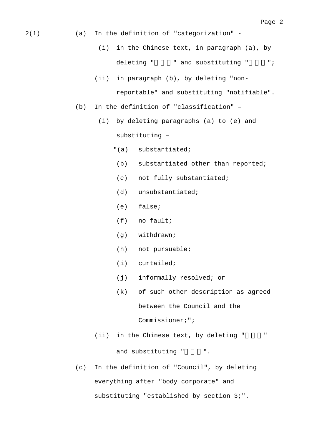2(1) (a) In the definition of "categorization" -

- (i) in the Chinese text, in paragraph (a), by deleting " " and substituting " ";
- (ii) in paragraph (b), by deleting "nonreportable" and substituting "notifiable".
- (b) In the definition of "classification"
	- (i) by deleting paragraphs (a) to (e) and substituting –
		- "(a) substantiated;
		- (b) substantiated other than reported;
		- (c) not fully substantiated;
		- (d) unsubstantiated;
		- (e) false;
		- (f) no fault;
		- (g) withdrawn;
		- (h) not pursuable;
		- (i) curtailed;
		- (j) informally resolved; or
		- (k) of such other description as agreed between the Council and the Commissioner;";
	- $(i)$  in the Chinese text, by deleting "

and substituting "  $\ldots$ ".

(c) In the definition of "Council", by deleting everything after "body corporate" and substituting "established by section 3;".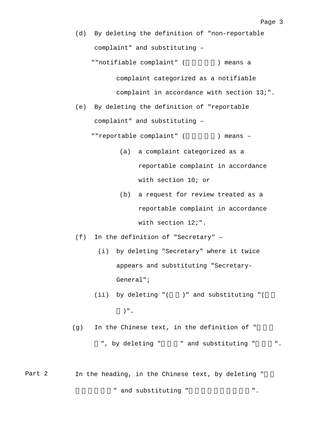(d) By deleting the definition of "non-reportable complaint" and substituting –

""notifiable complaint" ( ) means a

complaint categorized as a notifiable complaint in accordance with section 13;".

(e) By deleting the definition of "reportable complaint" and substituting –

""reportable complaint" (  $\qquad$ ) means -

- (a) a complaint categorized as a reportable complaint in accordance with section 10; or
- (b) a request for review treated as a reportable complaint in accordance with section 12;".
- (f) In the definition of "Secretary"
	- (i) by deleting "Secretary" where it twice appears and substituting "Secretary-General";
	- (ii) by deleting "(  $)$ " and substituting "( )".

 $(g)$  In the Chinese text, in the definition of "

", by deleting " " and substituting " ".

Part 2 In the heading, in the Chinese text, by deleting " " and substituting " T.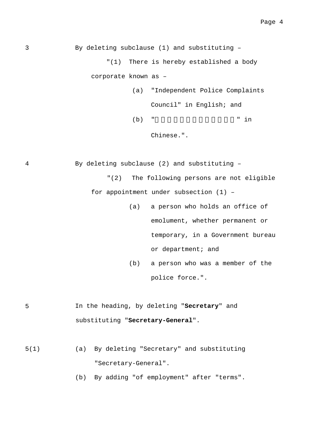3 By deleting subclause (1) and substituting – "(1) There is hereby established a body corporate known as – (a) "Independent Police Complaints

> Council" in English; and  $(b)$  " $\qquad$ " in

Chinese.".

4 By deleting subclause (2) and substituting –

"(2) The following persons are not eligible for appointment under subsection (1) –

- (a) a person who holds an office of emolument, whether permanent or temporary, in a Government bureau or department; and
- (b) a person who was a member of the police force.".
- 5 In the heading, by deleting "**Secretary**" and substituting "**Secretary-General**".
- 5(1) (a) By deleting "Secretary" and substituting "Secretary-General".

(b) By adding "of employment" after "terms".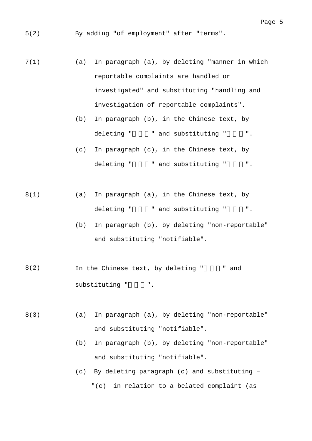5(2) By adding "of employment" after "terms".

7(1) (a) In paragraph (a), by deleting "manner in which reportable complaints are handled or investigated" and substituting "handling and investigation of reportable complaints".

- (b) In paragraph (b), in the Chinese text, by deleting " " and substituting " ".
- (c) In paragraph (c), in the Chinese text, by deleting " " and substituting " ".

8(1) (a) In paragraph (a), in the Chinese text, by deleting "須具報" and substituting "須匯報".

- (b) In paragraph (b), by deleting "non-reportable" and substituting "notifiable".
- $8(2)$  In the Chinese text, by deleting "" and substituting " ".
- 8(3) (a) In paragraph (a), by deleting "non-reportable" and substituting "notifiable".
	- (b) In paragraph (b), by deleting "non-reportable" and substituting "notifiable".
	- (c) By deleting paragraph (c) and substituting "(c) in relation to a belated complaint (as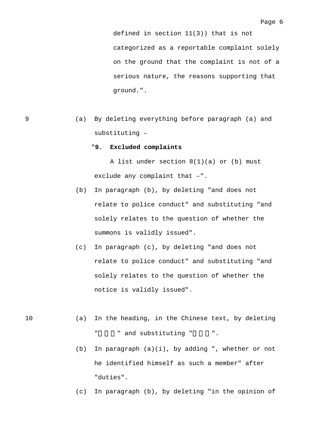defined in section 11(3)) that is not categorized as a reportable complaint solely on the ground that the complaint is not of a serious nature, the reasons supporting that ground.".

9 (a) By deleting everything before paragraph (a) and substituting –

#### "**9. Excluded complaints**

A list under section  $8(1)(a)$  or (b) must exclude any complaint that –".

- (b) In paragraph (b), by deleting "and does not relate to police conduct" and substituting "and solely relates to the question of whether the summons is validly issued".
- (c) In paragraph (c), by deleting "and does not relate to police conduct" and substituting "and solely relates to the question of whether the notice is validly issued".
- 10 (a) In the heading, in the Chinese text, by deleting " and substituting " ".
	- (b) In paragraph (a)(i), by adding ", whether or not he identified himself as such a member" after "duties".
	- (c) In paragraph (b), by deleting "in the opinion of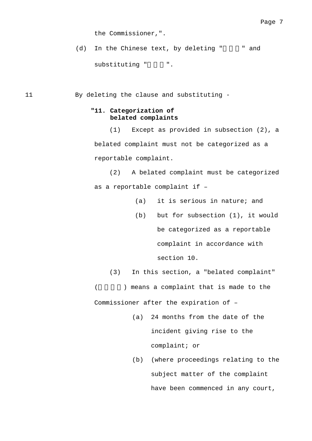the Commissioner,".

 $(d)$  In the Chinese text, by deleting "  $\blacksquare$  and substituting " ".

11 By deleting the clause and substituting -

### **"11. Categorization of belated complaints**

(1) Except as provided in subsection (2), a belated complaint must not be categorized as a reportable complaint.

(2) A belated complaint must be categorized as a reportable complaint if –

- (a) it is serious in nature; and
- (b) but for subsection (1), it would be categorized as a reportable complaint in accordance with

section 10.

(3) In this section, a "belated complaint"

(a) means a complaint that is made to the

Commissioner after the expiration of –

- (a) 24 months from the date of the incident giving rise to the complaint; or
- (b) (where proceedings relating to the subject matter of the complaint have been commenced in any court,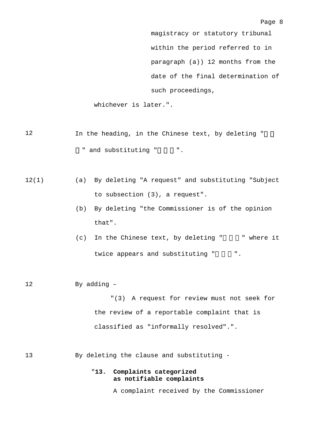Page 8

magistracy or statutory tribunal within the period referred to in paragraph (a)) 12 months from the date of the final determination of such proceedings,

whichever is later.".

- 12 In the heading, in the Chinese text, by deleting " " and substituting " ".
- 12(1) (a) By deleting "A request" and substituting "Subject to subsection (3), a request".
	- (b) By deleting "the Commissioner is of the opinion that".
	- $(c)$  In the Chinese text, by deleting " " where it twice appears and substituting " ".
- 12 By adding –

"(3) A request for review must not seek for the review of a reportable complaint that is classified as "informally resolved".".

13 By deleting the clause and substituting -

### "**13. Complaints categorized as notifiable complaints**

A complaint received by the Commissioner